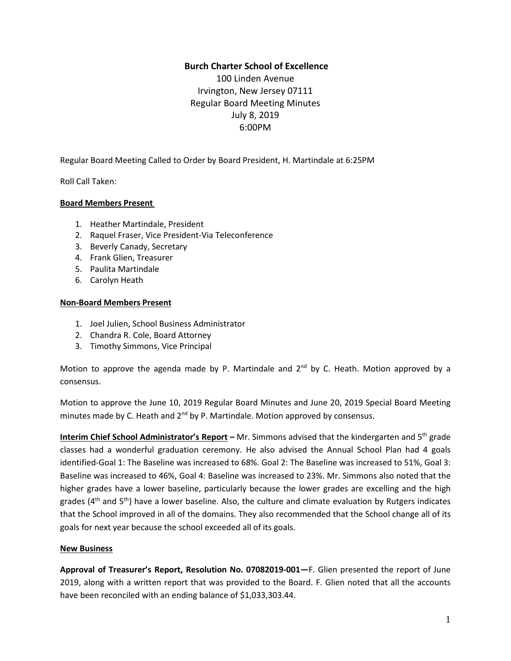## **Burch Charter School of Excellence**

100 Linden Avenue Irvington, New Jersey 07111 Regular Board Meeting Minutes July 8, 2019 6:00PM

Regular Board Meeting Called to Order by Board President, H. Martindale at 6:25PM

Roll Call Taken:

### **Board Members Present**

- 1. Heather Martindale, President
- 2. Raquel Fraser, Vice President-Via Teleconference
- 3. Beverly Canady, Secretary
- 4. Frank Glien, Treasurer
- 5. Paulita Martindale
- 6. Carolyn Heath

#### **Non-Board Members Present**

- 1. Joel Julien, School Business Administrator
- 2. Chandra R. Cole, Board Attorney
- 3. Timothy Simmons, Vice Principal

Motion to approve the agenda made by P. Martindale and  $2<sup>nd</sup>$  by C. Heath. Motion approved by a consensus.

Motion to approve the June 10, 2019 Regular Board Minutes and June 20, 2019 Special Board Meeting minutes made by C. Heath and 2<sup>nd</sup> by P. Martindale. Motion approved by consensus.

**Interim Chief School Administrator's Report –** Mr. Simmons advised that the kindergarten and 5 th grade classes had a wonderful graduation ceremony. He also advised the Annual School Plan had 4 goals identified-Goal 1: The Baseline was increased to 68%. Goal 2: The Baseline was increased to 51%, Goal 3: Baseline was increased to 46%, Goal 4: Baseline was increased to 23%. Mr. Simmons also noted that the higher grades have a lower baseline, particularly because the lower grades are excelling and the high grades (4<sup>th</sup> and 5<sup>th</sup>) have a lower baseline. Also, the culture and climate evaluation by Rutgers indicates that the School improved in all of the domains. They also recommended that the School change all of its goals for next year because the school exceeded all of its goals.

### **New Business**

**Approval of Treasurer's Report, Resolution No. 07082019-001—**F. Glien presented the report of June 2019, along with a written report that was provided to the Board. F. Glien noted that all the accounts have been reconciled with an ending balance of \$1,033,303.44.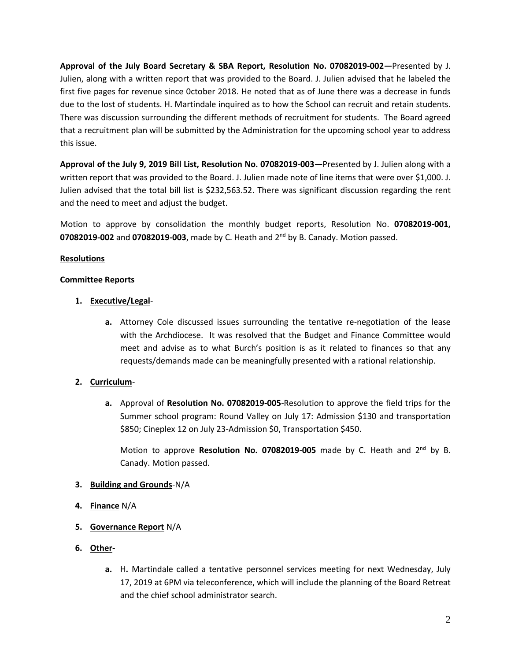**Approval of the July Board Secretary & SBA Report, Resolution No. 07082019-002—**Presented by J. Julien, along with a written report that was provided to the Board. J. Julien advised that he labeled the first five pages for revenue since 0ctober 2018. He noted that as of June there was a decrease in funds due to the lost of students. H. Martindale inquired as to how the School can recruit and retain students. There was discussion surrounding the different methods of recruitment for students. The Board agreed that a recruitment plan will be submitted by the Administration for the upcoming school year to address this issue.

**Approval of the July 9, 2019 Bill List, Resolution No. 07082019-003—**Presented by J. Julien along with a written report that was provided to the Board. J. Julien made note of line items that were over \$1,000. J. Julien advised that the total bill list is \$232,563.52. There was significant discussion regarding the rent and the need to meet and adjust the budget.

Motion to approve by consolidation the monthly budget reports, Resolution No. **07082019-001, 07082019-002** and **07082019-003**, made by C. Heath and 2 nd by B. Canady. Motion passed.

## **Resolutions**

### **Committee Reports**

- **1. Executive/Legal**
	- **a.** Attorney Cole discussed issues surrounding the tentative re-negotiation of the lease with the Archdiocese. It was resolved that the Budget and Finance Committee would meet and advise as to what Burch's position is as it related to finances so that any requests/demands made can be meaningfully presented with a rational relationship.

# **2. Curriculum**-

**a.** Approval of **Resolution No. 07082019-005**-Resolution to approve the field trips for the Summer school program: Round Valley on July 17: Admission \$130 and transportation \$850; Cineplex 12 on July 23-Admission \$0, Transportation \$450.

Motion to approve Resolution No. 07082019-005 made by C. Heath and 2<sup>nd</sup> by B. Canady. Motion passed.

### **3. Building and Grounds**-N/A

- **4. Finance** N/A
- **5. Governance Report** N/A
- **6. Other**
	- **a.** H**.** Martindale called a tentative personnel services meeting for next Wednesday, July 17, 2019 at 6PM via teleconference, which will include the planning of the Board Retreat and the chief school administrator search.